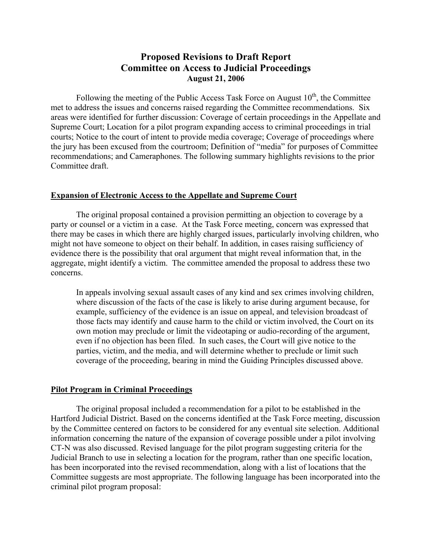# **Proposed Revisions to Draft Report Committee on Access to Judicial Proceedings August 21, 2006**

Following the meeting of the Public Access Task Force on August  $10<sup>th</sup>$ , the Committee met to address the issues and concerns raised regarding the Committee recommendations. Six areas were identified for further discussion: Coverage of certain proceedings in the Appellate and Supreme Court; Location for a pilot program expanding access to criminal proceedings in trial courts; Notice to the court of intent to provide media coverage; Coverage of proceedings where the jury has been excused from the courtroom; Definition of "media" for purposes of Committee recommendations; and Cameraphones. The following summary highlights revisions to the prior Committee draft.

#### **Expansion of Electronic Access to the Appellate and Supreme Court**

 The original proposal contained a provision permitting an objection to coverage by a party or counsel or a victim in a case. At the Task Force meeting, concern was expressed that there may be cases in which there are highly charged issues, particularly involving children, who might not have someone to object on their behalf. In addition, in cases raising sufficiency of evidence there is the possibility that oral argument that might reveal information that, in the aggregate, might identify a victim. The committee amended the proposal to address these two concerns.

In appeals involving sexual assault cases of any kind and sex crimes involving children, where discussion of the facts of the case is likely to arise during argument because, for example, sufficiency of the evidence is an issue on appeal, and television broadcast of those facts may identify and cause harm to the child or victim involved, the Court on its own motion may preclude or limit the videotaping or audio-recording of the argument, even if no objection has been filed. In such cases, the Court will give notice to the parties, victim, and the media, and will determine whether to preclude or limit such coverage of the proceeding, bearing in mind the Guiding Principles discussed above.

#### **Pilot Program in Criminal Proceedings**

 The original proposal included a recommendation for a pilot to be established in the Hartford Judicial District. Based on the concerns identified at the Task Force meeting, discussion by the Committee centered on factors to be considered for any eventual site selection. Additional information concerning the nature of the expansion of coverage possible under a pilot involving CT-N was also discussed. Revised language for the pilot program suggesting criteria for the Judicial Branch to use in selecting a location for the program, rather than one specific location, has been incorporated into the revised recommendation, along with a list of locations that the Committee suggests are most appropriate. The following language has been incorporated into the criminal pilot program proposal: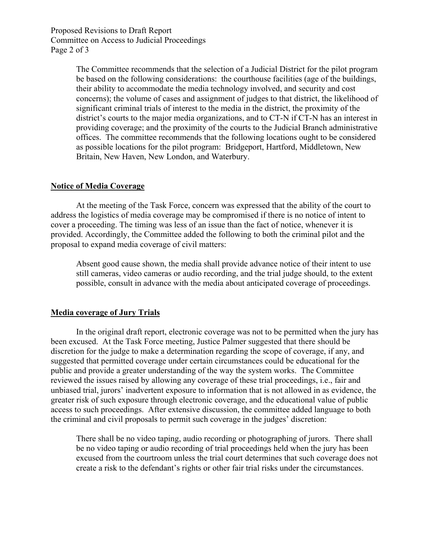Proposed Revisions to Draft Report Committee on Access to Judicial Proceedings Page 2 of 3

> The Committee recommends that the selection of a Judicial District for the pilot program be based on the following considerations: the courthouse facilities (age of the buildings, their ability to accommodate the media technology involved, and security and cost concerns); the volume of cases and assignment of judges to that district, the likelihood of significant criminal trials of interest to the media in the district, the proximity of the district's courts to the major media organizations, and to CT-N if CT-N has an interest in providing coverage; and the proximity of the courts to the Judicial Branch administrative offices. The committee recommends that the following locations ought to be considered as possible locations for the pilot program: Bridgeport, Hartford, Middletown, New Britain, New Haven, New London, and Waterbury.

## **Notice of Media Coverage**

 At the meeting of the Task Force, concern was expressed that the ability of the court to address the logistics of media coverage may be compromised if there is no notice of intent to cover a proceeding. The timing was less of an issue than the fact of notice, whenever it is provided. Accordingly, the Committee added the following to both the criminal pilot and the proposal to expand media coverage of civil matters:

Absent good cause shown, the media shall provide advance notice of their intent to use still cameras, video cameras or audio recording, and the trial judge should, to the extent possible, consult in advance with the media about anticipated coverage of proceedings.

## **Media coverage of Jury Trials**

 In the original draft report, electronic coverage was not to be permitted when the jury has been excused. At the Task Force meeting, Justice Palmer suggested that there should be discretion for the judge to make a determination regarding the scope of coverage, if any, and suggested that permitted coverage under certain circumstances could be educational for the public and provide a greater understanding of the way the system works. The Committee reviewed the issues raised by allowing any coverage of these trial proceedings, i.e., fair and unbiased trial, jurors' inadvertent exposure to information that is not allowed in as evidence, the greater risk of such exposure through electronic coverage, and the educational value of public access to such proceedings. After extensive discussion, the committee added language to both the criminal and civil proposals to permit such coverage in the judges' discretion:

There shall be no video taping, audio recording or photographing of jurors. There shall be no video taping or audio recording of trial proceedings held when the jury has been excused from the courtroom unless the trial court determines that such coverage does not create a risk to the defendant's rights or other fair trial risks under the circumstances.